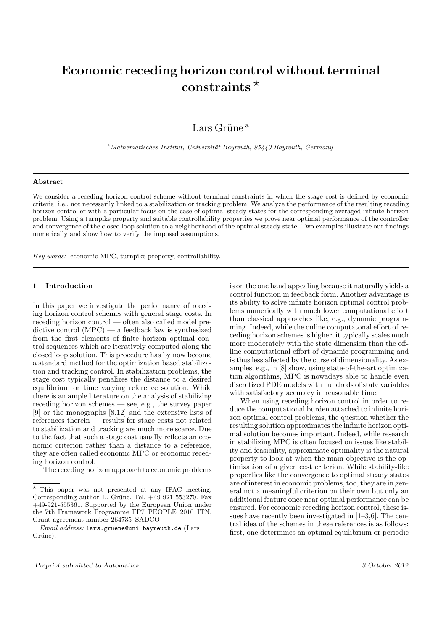# Economic receding horizon control without terminal constraints  $*$

Lars Grüne $^{\rm a}$ 

 $a<sup>a</sup> Mathematisches Institut, Universität Bayreuth, 95440 Bayreuth, Germany$ 

#### Abstract

We consider a receding horizon control scheme without terminal constraints in which the stage cost is defined by economic criteria, i.e., not necessarily linked to a stabilization or tracking problem. We analyze the performance of the resulting receding horizon controller with a particular focus on the case of optimal steady states for the corresponding averaged infinite horizon problem. Using a turnpike property and suitable controllability properties we prove near optimal performance of the controller and convergence of the closed loop solution to a neighborhood of the optimal steady state. Two examples illustrate our findings numerically and show how to verify the imposed assumptions.

Key words: economic MPC, turnpike property, controllability.

# 1 Introduction

In this paper we investigate the performance of receding horizon control schemes with general stage costs. In receding horizon control — often also called model predictive control (MPC) — a feedback law is synthesized from the first elements of finite horizon optimal control sequences which are iteratively computed along the closed loop solution. This procedure has by now become a standard method for the optimization based stabilization and tracking control. In stabilization problems, the stage cost typically penalizes the distance to a desired equilibrium or time varying reference solution. While there is an ample literature on the analysis of stabilizing receding horizon schemes — see, e.g., the survey paper [9] or the monographs [8,12] and the extensive lists of references therein — results for stage costs not related to stabilization and tracking are much more scarce. Due to the fact that such a stage cost usually reflects an economic criterion rather than a distance to a reference, they are often called economic MPC or economic receding horizon control.

The receding horizon approach to economic problems

is on the one hand appealing because it naturally yields a control function in feedback form. Another advantage is its ability to solve infinite horizon optimal control problems numerically with much lower computational effort than classical approaches like, e.g., dynamic programming. Indeed, while the online computatonal effort of receding horizon schemes is higher, it typically scales much more moderately with the state dimension than the offline computational effort of dynamic programming and is thus less affected by the curse of dimensionality. As examples, e.g., in [8] show, using state-of-the-art optimization algorithms, MPC is nowadays able to handle even discretized PDE models with hundreds of state variables with satisfactory accuracy in reasonable time.

When using receding horizon control in order to reduce the computational burden attached to infinite horizon optimal control problems, the question whether the resulting solution approximates the infinite horizon optimal solution becomes important. Indeed, while research in stabilizing MPC is often focused on issues like stability and feasibility, approximate optimality is the natural property to look at when the main objective is the optimization of a given cost criterion. While stability-like properties like the convergence to optimal steady states are of interest in economic problems, too, they are in general not a meaningful criterion on their own but only an additional feature once near optimal performance can be ensured. For economic receding horizon control, these issues have recently been investigated in [1–3,6]. The central idea of the schemes in these references is as follows: first, one determines an optimal equilibrium or periodic

 $^\star$  This paper was not presented at any IFAC meeting. Corresponding author L. Grüne. Tel.  $+49-921-553270$ . Fax  $+49-921-555361$ . Supported by the European Union under the 7th Framework Programme FP7–PEOPLE–2010–ITN, Grant agreement number 264735–SADCO

Email address: lars.gruene@uni-bayreuth.de (Lars Grüne).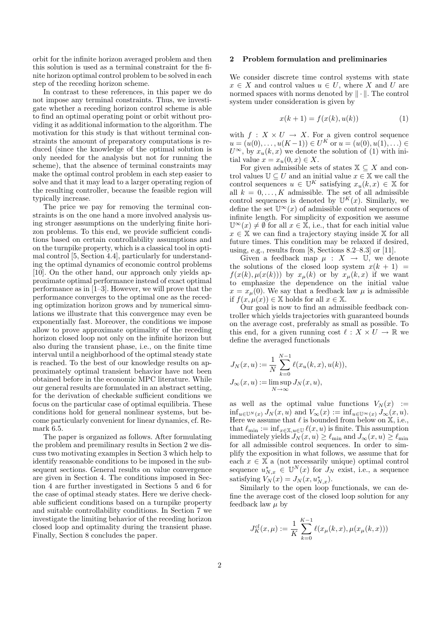orbit for the infinite horizon averaged problem and then this solution is used as a terminal constraint for the finite horizon optimal control problem to be solved in each step of the receding horizon scheme.

In contrast to these references, in this paper we do not impose any terminal constraints. Thus, we investigate whether a receding horizon control scheme is able to find an optimal operating point or orbit without providing it as additional information to the algorithm. The motivation for this study is that without terminal constraints the amount of preparatory computations is reduced (since the knowledge of the optimal solution is only needed for the analysis but not for running the scheme), that the absence of terminal constraints may make the optimal control problem in each step easier to solve and that it may lead to a larger operating region of the resulting controller, because the feasible region will typically increase.

The price we pay for removing the terminal constraints is on the one hand a more involved analysis using stronger assumptions on the underlying finite horizon problems. To this end, we provide sufficient conditions based on certain controllability assumptions and on the turnpike property, which is a classical tool in optimal control [5, Section 4.4], particularly for understanding the optimal dynamics of economic control problems [10]. On the other hand, our approach only yields approximate optimal performance instead of exact optimal performance as in [1–3]. However, we will prove that the performance converges to the optimal one as the receding optimization horizon grows and by numerical simulations we illustrate that this convergence may even be exponentially fast. Moreover, the conditions we impose allow to prove approximate optimality of the receding horizon closed loop not only on the infinite horizon but also during the transient phase, i.e., on the finite time interval until a neighborhood of the optimal steady state is reached. To the best of our knowledge results on approximately optimal transient behavior have not been obtained before in the economic MPC literature. While our general results are formulated in an abstract setting, for the derivation of checkable sufficient conditions we focus on the particular case of optimal equilibria. These conditions hold for general nonlinear systems, but become particularly convenient for linear dynamics, cf. Remark 6.5.

The paper is organized as follows. After formulating the problem and premilinary results in Section 2 we discuss two motivating examples in Section 3 which help to identify reasonable conditions to be imposed in the subsequent sections. General results on value convergence are given in Section 4. The conditions imposed in Section 4 are further investigated in Sections 5 and 6 for the case of optimal steady states. Here we derive checkable sufficient conditions based on a turnpike property and suitable controllability conditions. In Section 7 we investigate the limiting behavior of the receding horizon closed loop and optimality during the transient phase. Finally, Section 8 concludes the paper.

## 2 Problem formulation and preliminaries

We consider discrete time control systems with state  $x \in X$  and control values  $u \in U$ , where X and U are normed spaces with norms denoted by  $\|\cdot\|$ . The control system under consideration is given by

$$
x(k+1) = f(x(k), u(k))
$$
 (1)

with  $f: X \times U \to X$ . For a given control sequence  $u = (u(0), \ldots, u(K-1)) \in U^K$  or  $u = (u(0), u(1), \ldots) \in$  $U^{\infty}$ , by  $x_u(k, x)$  we denote the solution of (1) with initial value  $x = x_u(0, x) \in X$ .

For given admissible sets of states  $X \subseteq X$  and control values  $\mathbb{U} \subseteq U$  and an initial value  $x \in \mathbb{X}$  we call the control sequences  $u \in \mathbb{U}^K$  satisfying  $x_u(k, x) \in \mathbb{X}$  for all  $k = 0, \ldots, K$  admissible. The set of all admissible control sequences is denoted by  $\mathbb{U}^K(x)$ . Similarly, we define the set  $\mathbb{U}^{\infty}(x)$  of admissible control sequences of infinite length. For simplicity of exposition we assume  $\mathbb{U}^{\infty}(x) \neq \emptyset$  for all  $x \in \mathbb{X}$ , i.e., that for each initial value  $x \in \mathbb{X}$  we can find a trajectory staying inside X for all future times. This condition may be relaxed if desired, using, e.g., results from [8, Sections 8.2–8.3] or [11].

Given a feedback map  $\mu : X \to \mathbb{U}$ , we denote the solutions of the closed loop system  $x(k + 1) =$  $f(x(k), \mu(x(k)))$  by  $x_{\mu}(k)$  or by  $x_{\mu}(k, x)$  if we want to emphasize the dependence on the initial value  $x = x<sub>\mu</sub>(0)$ . We say that a feedback law  $\mu$  is admissible if  $f(x, \mu(x)) \in \mathbb{X}$  holds for all  $x \in \mathbb{X}$ .

Our goal is now to find an admissible feedback controller which yields trajectories with guaranteed bounds on the average cost, preferably as small as possible. To this end, for a given running cost  $\ell : X \times U \to \mathbb{R}$  we define the averaged functionals

$$
J_N(x, u) := \frac{1}{N} \sum_{k=0}^{N-1} \ell(x_u(k, x), u(k)),
$$
  

$$
J_{\infty}(x, u) := \limsup_{N \to \infty} J_N(x, u),
$$

as well as the optimal value functions  $V_N(x) :=$  $\inf_{u\in\mathbb{U}^N(x)} J_N(x, u)$  and  $V_\infty(x) := \inf_{u\in\mathbb{U}^\infty(x)} J_\infty(x, u)$ . Here we assume that  $\ell$  is bounded from below on  $\mathbb{X}$ , i.e., that  $\ell_{\min} := \inf_{x \in \mathbb{X}, u \in \mathbb{U}} \ell(x, u)$  is finite. This assumption immediately yields  $J_N(x, u) \geq \ell_{\min}$  and  $J_{\infty}(x, u) \geq \ell_{\min}$ for all admissible control sequences. In order to simplify the exposition in what follows, we assume that for each  $x \in \mathbb{X}$  a (not necessarily unique) optimal control sequence  $u_{N,x}^* \in \mathbb{U}^N(x)$  for  $J_N$  exist, i.e., a sequence satisfying  $V_N(x) = J_N(x, u^*_{N,x}).$ 

Similarly to the open loop functionals, we can define the average cost of the closed loop solution for any feedback law  $\mu$  by

$$
J_K^{cl}(x,\mu) := \frac{1}{K} \sum_{k=0}^{K-1} \ell(x_\mu(k,x), \mu(x_\mu(k,x)))
$$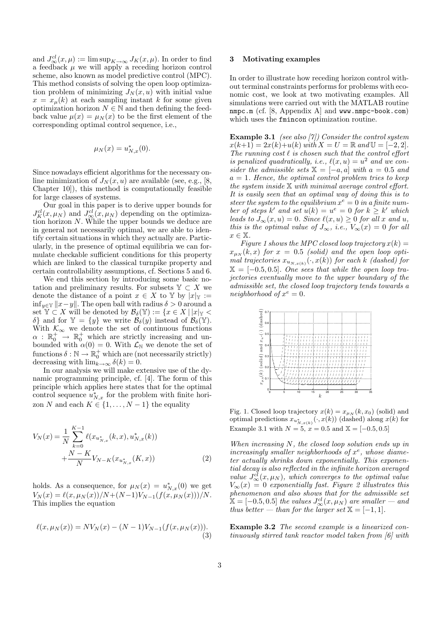and  $J^{cl}_{\infty}(x,\mu) := \limsup_{K \to \infty} J_K(x,\mu)$ . In order to find a feedback  $\mu$  we will apply a receding horizon control scheme, also known as model predictive control (MPC). This method consists of solving the open loop optimization problem of minimizing  $J_N(x, u)$  with initial value  $x = x<sub>µ</sub>(k)$  at each sampling instant k for some given optimization horizon  $N \in \mathbb{N}$  and then defining the feedback value  $\mu(x) = \mu_N(x)$  to be the first element of the corresponding optimal control sequence, i.e.,

$$
\mu_N(x) = u_{N,x}^*(0).
$$

Since nowadays efficient algorithms for the necessary online minimization of  $J<sub>N</sub>(x, u)$  are available (see, e.g., [8, Chapter 10]), this method is computationally feasible for large classes of systems.

Our goal in this paper is to derive upper bounds for  $J_K^{cl}(x,\mu_N)$  and  $J_\infty^{cl}(x,\mu_N)$  depending on the optimization horizon N. While the upper bounds we deduce are in general not necessarily optimal, we are able to identify certain situations in which they actually are. Particularly, in the presence of optimal equilibria we can formulate checkable sufficient conditions for this property which are linked to the classical turnpike property and certain controllability assumptions, cf. Sections 5 and 6.

We end this section by introducing some basic notation and preliminary results. For subsets  $\mathbb{Y} \subset X$  we denote the distance of a point  $x \in X$  to Y by  $|x|_{Y} :=$  $\inf_{y\in\mathbb{Y}}||x-y||$ . The open ball with radius  $\delta > 0$  around a set  $\mathbb{Y} \subset X$  will be denoted by  $\mathcal{B}_{\delta}(\mathbb{Y}) := \{x \in X \mid |x|_{\mathbb{Y}} <$ δ} and for  $\mathbb{Y} = \{y\}$  we write  $\mathcal{B}_{\delta}(y)$  instead of  $\mathcal{B}_{\delta}(\mathbb{Y})$ . With  $\mathcal{K}_{\infty}$  we denote the set of continuous functions  $\alpha$  :  $\mathbb{R}^+_0$   $\rightarrow$   $\mathbb{R}^+_0$  which are strictly increasing and unbounded with  $\alpha(0) = 0$ . With  $\mathcal{L}_{\mathbb{N}}$  we denote the set of functions  $\delta : \mathbb{N} \to \mathbb{R}_0^+$  which are (not necessarily strictly) decreasing with  $\lim_{k\to\infty} \delta(k) = 0$ .

In our analysis we will make extensive use of the dynamic programming principle, cf. [4]. The form of this principle which applies here states that for the optimal control sequence  $u_{N,x}^*$  for the problem with finite horizon N and each  $K \in \{1, \ldots, N-1\}$  the equality

$$
V_N(x) = \frac{1}{N} \sum_{k=0}^{K-1} \ell(x_{u_{N,x}^*}(k, x), u_{N,x}^*(k)) + \frac{N-K}{N} V_{N-K}(x_{u_{N,x}^*}(K, x))
$$
\n(2)

holds. As a consequence, for  $\mu_N(x) = u^*_{N,x}(0)$  we get  $V_N(x) = \ell(x, \mu_N(x))/N+(N-1)V_{N-1}(f(x, \mu_N(x)))/N.$ This implies the equation

$$
\ell(x, \mu_N(x)) = NV_N(x) - (N-1)V_{N-1}(f(x, \mu_N(x))).
$$
\n(3)

#### 3 Motivating examples

In order to illustrate how receding horizon control without terminal constraints performs for problems with economic cost, we look at two motivating examples. All simulations were carried out with the MATLAB routine nmpc.m (cf. [8, Appendix A] and www.nmpc-book.com) which uses the fmincon optimization routine.

**Example 3.1** (see also [7]) Consider the control system  $x(k+1) = 2x(k)+u(k)$  with  $X = U = \mathbb{R}$  and  $\mathbb{U} = [-2, 2].$ The running cost  $\ell$  is chosen such that the control effort is penalized quadratically, i.e.,  $\ell(x, u) = u^2$  and we consider the admissible sets  $\mathbb{X} = [-a, a]$  with  $a = 0.5$  and  $a = 1$ . Hence, the optimal control problem tries to keep the system inside  $X$  with minimal average control effort. It is easily seen that an optimal way of doing this is to steer the system to the equilibrium  $x^e = 0$  in a finite number of steps k' and set  $u(k) = u^e = 0$  for  $k \geq k'$  which leads to  $J_{\infty}(x, u) = 0$ . Since  $\ell(x, u) \geq 0$  for all x and u, this is the optimal value of  $J_{\infty}$ , i.e.,  $V_{\infty}(x) = 0$  for all  $x \in \mathbb{X}$ .

Figure 1 shows the MPC closed loop trajectory  $x(k) =$  $x_{\mu_N}(k, x)$  for  $x = 0.5$  (solid) and the open loop optimal trajectories  $x_{u_{N,x(k)}}(\cdot, x(k))$  for each k (dashed) for  $X = [-0.5, 0.5]$ . One sees that while the open loop trajectories eventually move to the upper boundary of the admissible set, the closed loop trajectory tends towards a neighborhood of  $x^e = 0$ .



Fig. 1. Closed loop trajectory  $x(k) = x_{\mu}N(k, x_0)$  (solid) and optimal predictions  $x_{u_{N,x(k)}^*}(\cdot, x(k))$  (dashed) along  $x(k)$  for Example 3.1 with  $N = 5$ ,  $x = 0.5$  and  $\mathbb{X} = [-0.5, 0.5]$ 

When increasing N, the closed loop solution ends up in increasingly smaller neighborhoods of  $x^e$ , whose diameter actually shrinks down exponentially. This exponential decay is also reflected in the infinite horizon averaged value  $J^{\text{cl}}_{\infty}(x,\mu_N)$ , which converges to the optimal value  $V_{\infty}(x) = 0$  exponentially fast. Figure 2 illustrates this phenomenon and also shows that for the admissible set  $\mathbf{\tilde{X}} = [-0.5, 0.5]$  the values  $J_{\infty}^{cl}(x, \mu_N)$  are smaller — and thus better — than for the larger set  $\mathbb{X} = [-1, 1].$ 

Example 3.2 The second example is a linearized continuously stirred tank reactor model taken from [6] with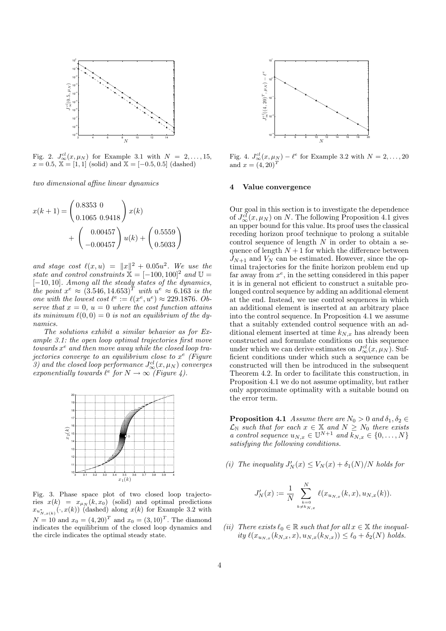

Fig. 2.  $J^{cl}_{\infty}(x,\mu_N)$  for Example 3.1 with  $N = 2, ..., 15$ ,  $x = 0.5, X = [1, 1]$  (solid) and  $X = [-0.5, 0.5]$  (dashed)

two dimensional affine linear dynamics

$$
x(k+1) = \begin{pmatrix} 0.8353 & 0 \\ 0.1065 & 0.9418 \end{pmatrix} x(k)
$$

$$
+ \begin{pmatrix} 0.00457 \\ -0.00457 \end{pmatrix} u(k) + \begin{pmatrix} 0.5559 \\ 0.5033 \end{pmatrix}
$$

and stage cost  $\ell(x, u) = ||x||^2 + 0.05u^2$ . We use the state and control constraints  $\ddot{\mathbf{x}} = [-100, 100]^2$  and  $\mathbb{U} =$ [-10, 10]. Among all the steady states of the dynamics,<br>the point  $x^e \approx (3.546, 14.653)^T$  with  $u^e \approx 6.163$  is the one with the lowest cost  $\ell^e := \ell(x^e, u^e) \approx 229.1876$ . Observe that  $x = 0$ ,  $u = 0$  where the cost function attains its minimum  $\ell(0, 0) = 0$  is not an equilibrium of the dynamics.

The solutions exhibit a similar behavior as for Example 3.1: the open loop optimal trajectories first move  $t$ owards  $x^e$  and then move away while the closed loop trajectories converge to an equilibrium close to  $x^e$  (Figure 3) and the closed loop performance  $J^{\text{cl}}_{\infty}(x,\mu_N)$  converges exponentially towards  $\ell^e$  for  $N \to \infty$  (Figure 4).



Fig. 3. Phase space plot of two closed loop trajectories  $x(k) = x_{\mu_N}(k, x_0)$  (solid) and optimal predictions  $x_{u_{N,x(k)}^*}(\cdot, x(k))$  (dashed) along  $x(k)$  for Example 3.2 with  $N = 10$  and  $x_0 = (4, 20)^T$  and  $x_0 = (3, 10)^T$ . The diamond indicates the equilibrium of the closed loop dynamics and the circle indicates the optimal steady state.



Fig. 4.  $J_{\infty}^{cl}(x,\mu_N) - \ell^e$  for Example 3.2 with  $N = 2, \ldots, 20$ and  $x = (4, 20)^T$ 

#### 4 Value convergence

Our goal in this section is to investigate the dependence of  $J^{\text{cl}}_{\infty}(x, \mu_N)$  on N. The following Proposition 4.1 gives an upper bound for this value. Its proof uses the classical receding horizon proof technique to prolong a suitable control sequence of length  $N$  in order to obtain a sequence of length  $N + 1$  for which the difference between  $J_{N+1}$  and  $V_N$  can be estimated. However, since the optimal trajectories for the finite horizon problem end up far away from  $x^e$ , in the setting considered in this paper it is in general not efficient to construct a suitable prolonged control sequence by adding an additional element at the end. Instead, we use control sequences in which an additional element is inserted at an arbitrary place into the control sequence. In Proposition 4.1 we assume that a suitably extended control sequence with an additional element inserted at time  $k_{N,x}$  has already been constructed and formulate conditions on this sequence under which we can derive estimates on  $J^{cl}_{\infty}(x, \mu_N)$ . Sufficient conditions under which such a sequence can be constructed will then be introduced in the subsequent Theorem 4.2. In order to facilitate this construction, in Proposition 4.1 we do not assume optimality, but rather only approximate optimality with a suitable bound on the error term.

**Proposition 4.1** Assume there are  $N_0 > 0$  and  $\delta_1, \delta_2 \in$  $\mathcal{L}_{\mathbb{N}}$  such that for each  $x \in \mathbb{X}$  and  $N \geq N_0$  there exists a control sequence  $u_{N,x} \in \mathbb{U}^{N+1}$  and  $\overline{k}_{N,x} \in \{0, \ldots, N\}$ satisfying the following conditions.

(i) The inequality  $J'_N(x) \leq V_N(x) + \delta_1(N)/N$  holds for

$$
J_N'(x) := \frac{1}{N} \sum_{\substack{k=0 \\ k \neq k_{N,x}}}^N \ell(x_{u_{N,x}}(k,x), u_{N,x}(k)).
$$

(ii) There exists  $\ell_0 \in \mathbb{R}$  such that for all  $x \in \mathbb{X}$  the inequality  $\ell(x_{u_{N,x}}(k_{N,x}, x), u_{N,x}(k_{N,x})) \leq \ell_0 + \delta_2(N)$  holds.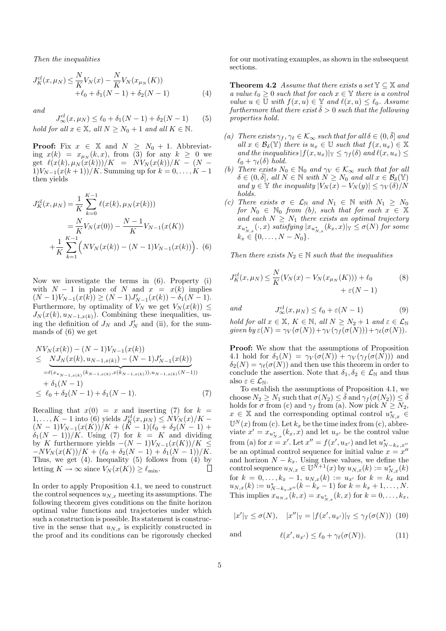Then the inequalities

$$
J_K^{cl}(x,\mu_N) \le \frac{N}{K} V_N(x) - \frac{N}{K} V_N(x_{\mu_N}(K)) + \ell_0 + \delta_1(N-1) + \delta_2(N-1)
$$
 (4)

and

$$
J_{\infty}^{cl}(x, \mu_N) \le \ell_0 + \delta_1(N-1) + \delta_2(N-1)
$$
 (5)  
*hold for all*  $x \in \mathbb{X}$ , *all*  $N \ge N_0 + 1$  *and all*  $K \in \mathbb{N}$ .

**Proof:** Fix  $x \in \mathbb{X}$  and  $N \geq N_0 + 1$ . Abbreviating  $x(k) = x_{\mu_N}(k, x)$ , from (3) for any  $k \geq 0$  we get  $\ell(x(k), \mu_N(x(k)))/K = N V_N(x(k))/K - (N 1)V_{N-1}(x(k+1))/K$ . Summing up for  $k = 0, ..., K-1$ then yields

$$
J_K^{cl}(x, \mu_N) = \frac{1}{K} \sum_{k=0}^{K-1} \ell(x(k), \mu_N(x(k)))
$$
  
= 
$$
\frac{N}{K} V_N(x(0)) - \frac{N-1}{K} V_{N-1}(x(K))
$$
  
+ 
$$
\frac{1}{K} \sum_{k=1}^{K-1} \left( N V_N(x(k)) - (N-1) V_{N-1}(x(k)) \right).
$$
 (6)

Now we investigate the terms in (6). Property (i) with  $N - 1$  in place of N and  $x = x(k)$  implies  $(N-1)V_{N-1}(x(k)) \ge (N-1)J'_{N-1}(x(k)) - \delta_1(N-1).$ Furthermore, by optimality of  $V_N$  we get  $V_N(x(k)) \leq$  $J_N(x(k), u_{N-1,x(k)})$ . Combining these inequalities, using the definition of  $J_N$  and  $J'_N$  and (ii), for the summands of (6) we get

$$
NV_N(x(k)) - (N-1)V_{N-1}(x(k))
$$
  
\n
$$
\leq \frac{NJ_N(x(k), u_{N-1,x(k)}) - (N-1)J'_{N-1}(x(k))}{x^{\ell(x_{u_{N-1,x(k)}}(k_{N-1,x(k)}, x(k_{N-1,x(k)})), u_{N-1,x(k)}(N-1))}
$$
  
\n
$$
+ \delta_1(N-1)
$$
  
\n
$$
\leq \ell_0 + \delta_2(N-1) + \delta_1(N-1).
$$
 (7)

Recalling that  $x(0) = x$  and inserting (7) for  $k =$  $1, \ldots, K-1$  into (6) yields  $J_K^{cl}(x, \mu_N) \leq N V_N(x)/K-1$  $\frac{(N-1)V_{N-1}(x(K))/K + (K-1)(\ell_0 + \delta_2(N-1)) + (K-1)(\ell_0 + \delta_3(N-1))}{\ell_0 + \delta_2(N-1)}$  $\delta_1(N-1))/K$ . Using (7) for  $k = K$  and dividing by K furthermore yields  $-(N-1)V_{N-1}(x(K))/K \leq$  $-NV_N(x(K))/K + (\ell_0 + \delta_2(N - 1) + \delta_1(N - 1))/K.$ Thus, we get  $(4)$ . Inequality  $(5)$  follows from  $(4)$  by letting  $K \to \infty$  since  $V_N(x(K)) \geq \ell_{\min}$ . П

In order to apply Proposition 4.1, we need to construct the control sequences  $u_{N,x}$  meeting its assumptions. The following theorem gives conditions on the finite horizon optimal value functions and trajectories under which such a construction is possible. Its statement is constructive in the sense that  $u_{N,x}$  is explicitly constructed in the proof and its conditions can be rigorously checked for our motivating examples, as shown in the subsequent sections.

**Theorem 4.2** Assume that there exists a set  $\mathbb{Y} \subseteq \mathbb{X}$  and a value  $\ell_0 \geq 0$  such that for each  $x \in \mathbb{Y}$  there is a control value  $u \in \mathbb{U}$  with  $f(x, u) \in \mathbb{Y}$  and  $\ell(x, u) \leq \ell_0$ . Assume furthermore that there exist  $\bar{\delta} > 0$  such that the following properties hold.

- (a) There exists  $\gamma_f, \gamma_\ell \in \mathcal{K}_{\infty}$  such that for all  $\delta \in (0, \bar{\delta}]$  and all  $x \in \mathcal{B}_{\delta}(\mathbb{Y})$  there is  $u_x \in \mathbb{U}$  such that  $f(x, u_x) \in \mathbb{X}$ and the inequalities  $|f(x, u_x)|_y < \gamma_f(\delta)$  and  $\ell(x, u_x) <$  $\ell_0 + \gamma_\ell(\delta)$  hold.
- (b) There exists  $N_0 \in \mathbb{N}_0$  and  $\gamma_V \in \mathcal{K}_{\infty}$  such that for all  $\delta \in (0, \overline{\delta}],$  all  $N \in \mathbb{N}$  with  $N \geq N_0$  and all  $x \in \mathcal{B}_{\delta}(\mathbb{Y})$ and  $y \in \mathbb{Y}$  the inequality  $|V_N(x) - V_N(y)| \leq \gamma_V(\delta)/N$ holds.
- (c) There exists  $\sigma \in \mathcal{L}_{\mathbb{N}}$  and  $N_1 \in \mathbb{N}$  with  $N_1 \geq N_0$ for  $N_0 \in \mathbb{N}_0$  from (b), such that for each  $x \in \mathbb{X}$ and each  $N \geq N_1$  there exists an optimal trajectory  $x_{u_{N,x}^{*}}(\cdot,x)$  satisfying  $|x_{u_{N,x}^{*}}(k_{x},x)|_{\mathbb{Y}} \leq \sigma(N)$  for some  $k_x \in \{0, \ldots, N - N_0\}.$

Then there exists  $N_2 \in \mathbb{N}$  such that the inequalities

$$
J_K^{cl}(x, \mu_N) \le \frac{N}{K}(V_N(x) - V_N(x_{\mu_N}(K))) + \ell_0
$$
\n
$$
+ \varepsilon(N - 1)
$$
\n(8)

and

 $\int_{\infty}^{\text{cl}} (x, \mu_N) \le \ell_0 + \varepsilon (N - 1)$  (9) hold for all  $x \in \mathbb{X}$ ,  $K \in \mathbb{N}$ , all  $N \geq N_2 + 1$  and  $\varepsilon \in \mathcal{L}_{\mathbb{N}}$ given by  $\varepsilon(N) = \gamma_V(\sigma(N)) + \gamma_V(\gamma_f(\sigma(N))) + \gamma_\ell(\sigma(N)).$ 

Proof: We show that the assumptions of Proposition 4.1 hold for  $\delta_1(N) = \gamma_V(\sigma(N)) + \gamma_V(\gamma_f(\sigma(N)))$  and  $\delta_2(N) = \gamma_\ell(\sigma(N))$  and then use this theorem in order to conclude the assertion. Note that  $\delta_1, \delta_2 \in \mathcal{L}_{\mathbb{N}}$  and thus also  $\varepsilon \in \mathcal{L}_{\mathbb{N}}$ .

To establish the assumptions of Proposition 4.1, we choose  $N_2 \geq N_1$  such that  $\sigma(N_2) \leq \overline{\delta}$  and  $\gamma_f(\sigma(N_2)) \leq \overline{\delta}$ holds for  $\sigma$  from (c) and  $\gamma_f$  from (a). Now pick  $N \geq N_2$ ,  $x \in \mathbb{X}$  and the corresponding optimal control  $u_{N,x}^* \in$  $\mathbb{U}^N(x)$  from (c). Let  $k_x$  be the time index from (c), abbreviate  $x' = x_{u_{N,x}^*}(k_x, x)$  and let  $u_{x'}$  be the control value from (a) for  $x = x'$ . Let  $x'' = f(x', u_{x'})$  and let  $u_{N-k_x,x''}^*$ be an optimal control sequence for initial value  $x = x''$ and horizon  $N - k_x$ . Using these values, we define the control sequence  $u_{N,x} \in \mathbb{U}^{\tilde{N}+1}(x)$  by  $u_{N,x}(k) := u_{N,x}^*(k)$ for  $k = 0, \ldots, k_x - 1, u_{N,x}(k) := u_{x'}$  for  $k = k_x$  and  $u_{N,x}(k) := u_{N-k_x,x''}^*(k-k_x-1)$  for  $k = k_x+1,\ldots,N$ . This implies  $x_{u_{N,x}}(k, x) = x_{u_{N,x}^*}(k, x)$  for  $k = 0, ..., k_x$ ,

$$
|x'|_{\mathbb{Y}} \le \sigma(N), \quad |x''|_{\mathbb{Y}} = |f(x', u_{x'})|_{\mathbb{Y}} \le \gamma_f(\sigma(N)) \tag{10}
$$

and 
$$
\ell(x', u_{x'}) \leq \ell_0 + \gamma_{\ell}(\sigma(N)). \tag{11}
$$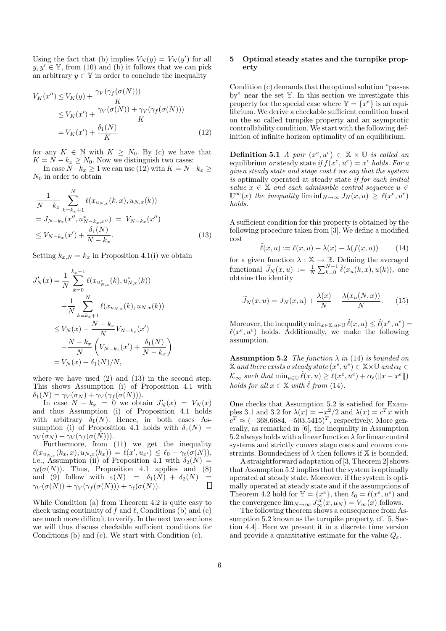Using the fact that (b) implies  $V_N(y) = V_N(y')$  for all  $y, y' \in \mathbb{Y}$ , from (10) and (b) it follows that we can pick an arbitrary  $y \in \mathbb{Y}$  in order to conclude the inequality

$$
V_K(x'') \le V_K(y) + \frac{\gamma_V(\gamma_f(\sigma(N)))}{K}
$$
  
\n
$$
\le V_K(x') + \frac{\gamma_V(\sigma(N)) + \gamma_V(\gamma_f(\sigma(N)))}{K}
$$
  
\n
$$
= V_K(x') + \frac{\delta_1(N)}{K}
$$
 (12)

for any  $K \in \mathbb{N}$  with  $K \geq N_0$ . By (c) we have that  $K = N - k_x \geq N_0$ . Now we distinguish two cases:

In case  $N-k_x \ge 1$  we can use (12) with  $K = N-k_x \ge 1$  $N_0$  in order to obtain

$$
\frac{1}{N - k_x} \sum_{k=k_x+1}^{N} \ell(x_{u_{N,x}}(k, x), u_{N,x}(k))
$$
  
=  $J_{N-k_x}(x'', u_{N-k_x,x''}^*) = V_{N-k_x}(x'')$   
 $\leq V_{N-k_x}(x') + \frac{\delta_1(N)}{N - k_x}.$  (13)

Setting  $k_{x,N} = k_x$  in Proposition 4.1(i) we obtain

$$
J'_{N}(x) = \frac{1}{N} \sum_{k=0}^{k_{x}-1} \ell(x_{u_{N,x}^{*}}(k), u_{N,x}^{*}(k))
$$
  
+ 
$$
\frac{1}{N} \sum_{k=k_{x}+1}^{N} \ell(x_{u_{N,x}}(k), u_{N,x}(k))
$$
  

$$
\leq V_{N}(x) - \frac{N - k_{x}}{N} V_{N-k_{x}}(x')
$$
  
+ 
$$
\frac{N - k_{x}}{N} \left( V_{N-k_{x}}(x') + \frac{\delta_{1}(N)}{N-k_{x}} \right)
$$
  
= 
$$
V_{N}(x) + \delta_{1}(N)/N,
$$

where we have used  $(2)$  and  $(13)$  in the second step. This shows Assumption (i) of Proposition 4.1 with  $\delta_1(N) = \gamma_V(\sigma_N) + \gamma_V(\gamma_f(\sigma(N))).$ 

In case  $N - k_x = 0$  we obtain  $J'_N(x) = V_N(x)$ and thus Assumption (i) of Proposition 4.1 holds with arbitrary  $\delta_1(N)$ . Hence, in both cases Assumption (i) of Proposition 4.1 holds with  $\delta_1(N)$  =  $\gamma_V(\sigma_N) + \gamma_V(\gamma_f(\sigma(N))).$ 

Furthermore, from (11) we get the inequality  $\ell(x_{u_{N,x}}(k_x, x), u_{N,x}(k_x)) = \ell(x', u_{x'}) \leq \ell_0 + \gamma_{\ell}(\sigma(N)),$ i.e., Assumption (ii) of Proposition 4.1 with  $\delta_2(N)$  =  $\gamma_{\ell}(\sigma(N))$ . Thus, Proposition 4.1 applies and (8) and (9) follow with  $\varepsilon(N) = \delta_1(N) + \delta_2(N) = \gamma_V(\sigma(N)) + \gamma_V(\gamma_t(\sigma(N))) + \gamma_t(\sigma(N))$ .  $\gamma_V(\sigma(N)) + \gamma_V(\gamma_f(\sigma(N))) + \gamma_\ell(\sigma(N)).$ 

While Condition (a) from Theorem 4.2 is quite easy to check using continuity of f and  $\ell$ , Conditions (b) and (c) are much more difficult to verify. In the next two sections we will thus discuss checkable sufficient conditions for Conditions (b) and (c). We start with Condition (c).

#### 5 Optimal steady states and the turnpike property

Condition (c) demands that the optimal solution "passes by" near the set Y. In this section we investigate this property for the special case where  $\mathbb{Y} = \{x^e\}$  is an equilibrium. We derive a checkable sufficient condition based on the so called turnpike property and an asymptotic controllability condition. We start with the following definition of infinite horizon optimality of an equilibrium.

**Definition 5.1** A pair  $(x^e, u^e) \in \mathbb{X} \times \mathbb{U}$  is called an equilibrium or steady state if  $f(x^e, u^e) = x^e$  holds. For a given steady state and stage cost  $\ell$  we say that the system is optimally operated at steady state if for each initial value  $x \in \mathbb{X}$  and each admissible control sequence  $u \in$  $\mathbb{U}^{\infty}(x)$  the inequality  $\liminf_{N\to\infty} J_N(x, u) \geq \ell(x^e, u^e)$ holds.

A sufficient condition for this property is obtained by the following procedure taken from [3]. We define a modified cost

$$
\tilde{\ell}(x, u) := \ell(x, u) + \lambda(x) - \lambda(f(x, u)) \tag{14}
$$

for a given function  $\lambda : \mathbb{X} \to \mathbb{R}$ . Defining the averaged functional  $\widetilde{J}_N(x, u) := \frac{1}{N} \sum_{k=0}^{N-1} \widetilde{\ell}(x_u(k, x), u(k)),$  one obtains the identity

$$
\widetilde{J}_N(x, u) = J_N(x, u) + \frac{\lambda(x)}{N} - \frac{\lambda(x_u(N, x))}{N}.
$$
 (15)

Moreover, the inequality  $\min_{x \in \mathbb{X}, u \in \mathbb{U}} \tilde{\ell}(x, u) \leq \tilde{\ell}(x^e, u^e) =$  $\ell(x^e, u^e)$  holds. Additionally, we make the following assumption.

**Assumption 5.2** The function  $\lambda$  in (14) is bounded on  $\mathbb X$  and there exists a steady state  $(x^e, u^e) \in \mathbb X \times \mathbb U$  and  $\alpha_\ell \in$  $\mathcal{K}_{\infty}$  such that  $\min_{u \in \mathbb{U}} \tilde{\ell}(\underline{x}, u) \geq \ell(x^e, u^e) + \alpha_{\ell}(\Vert x - x^e \Vert)$ holds for all  $x \in \mathbb{X}$  with  $\ell$  from (14).

One checks that Assumption 5.2 is satisfied for Examples 3.1 and 3.2 for  $\lambda(x) = -x^2/2$  and  $\lambda(x) = c^T x$  with  $c^T \approx (-368.6684, -503.5415)^T$ , respectively. More generally, as remarked in [6], the inequality in Assumption 5.2 always holds with a linear function  $\lambda$  for linear control systems and strictly convex stage costs and convex constraints. Boundedness of  $\lambda$  then follows if  $X$  is bounded.

A straightforward adaptation of [3, Theorem 2] shows that Assumption 5.2 implies that the system is optimally operated at steady state. Moreover, if the system is optimally operated at steady state and if the assumptions of Theorem 4.2 hold for  $\mathbb{Y} = \{x^e\}$ , then  $\ell_0 = \ell(x^e, u^e)$  and the convergence  $\lim_{N\to\infty} J^{cl}_{\infty}(x,\mu_N) = V_{\infty}(x)$  follows.

The following theorem shows a consequence from Assumption 5.2 known as the turnpike property, cf. [5, Section 4.4]. Here we present it in a discrete time version and provide a quantitative estimate for the value  $Q_{\varepsilon}$ .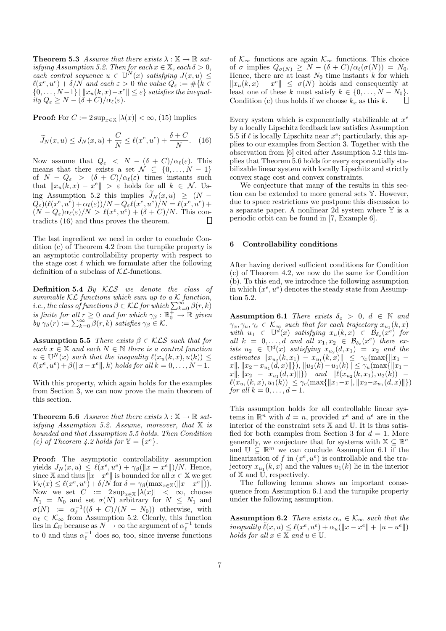**Theorem 5.3** Assume that there exists  $\lambda : \mathbb{X} \to \mathbb{R}$  satisfying Assumption 5.2. Then for each  $x \in \mathbb{X}$ , each  $\delta > 0$ , each control sequence  $u \in \mathbb{U}^N(x)$  satisfying  $J(x, u) \leq$ <br> $\ell(x^e, u^e) + \delta/N$  and each  $\varepsilon > 0$  the value  $Q_{\varepsilon} := \#\{k \in$  $\{0,\ldots,N-1\}$  |  $||x_u(k,x)-x^e|| \leq \varepsilon\}$  satisfies the inequality  $Q_{\varepsilon} \ge N - (\delta + C)/\alpha_{\ell}(\varepsilon).$ 

**Proof:** For  $C := 2 \sup_{x \in \mathbb{X}} |\lambda(x)| < \infty$ , (15) implies

$$
\widetilde{J}_N(x, u) \le J_N(x, u) + \frac{C}{N} \le \ell(x^e, u^e) + \frac{\delta + C}{N}.
$$
 (16)

Now assume that  $Q_{\varepsilon} < N - (\delta + C)/\alpha_{\ell}(\varepsilon)$ . This means that there exists a set  $\mathcal{N} \subseteq \{0, \ldots, N-1\}$ of  $N - Q_{\varepsilon} > (\delta + C)/\alpha_{\ell}(\varepsilon)$  times instants such that  $||x_u(k, x) - x^e|| > \varepsilon$  holds for all  $k \in \mathcal{N}$ . Using Assumption 5.2 this implies  $\widetilde{J}_N(x, u) \geq (N Q_{\varepsilon})(\ell(x^e,u^{\overline{e}})+\alpha_{\ell}(\varepsilon))/N+Q_{\varepsilon}\ell(x^e,u^e)/N=\ell(x^e,u^e)+$  $(N - Q_{\varepsilon})\alpha_{\ell}(\varepsilon)/N > \ell(x^e, u^e) + (\delta + C)/N$ . This contradicts (16) and thus proves the theorem.  $\Box$ 

The last ingredient we need in order to conclude Condition (c) of Theorem 4.2 from the turnpike property is an asymptotic controllability property with respect to the stage cost  $\ell$  which we formulate after the following definition of a subclass of  $K\mathcal{L}$ -functions.

**Definition 5.4** By  $KLS$  we denote the class of summable  $KL$  functions which sum up to a K function, *i.e., the class of functions*  $\beta \in \mathcal{KL}$  for which  $\sum_{k=0}^{\infty} \beta(r, k)$ is finite for all  $r \geq 0$  and for which  $\gamma_\beta : \mathbb{R}^+ \to \mathbb{R}$  given  $by \gamma_{\beta}(r) := \sum_{k=0}^{\infty} \beta(r, k) \; satisfies \; \gamma_{\beta} \in \mathcal{K}.$ 

**Assumption 5.5** There exists  $\beta \in \mathcal{KLS}$  such that for each  $x \in \mathbb{X}$  and each  $N \in \mathbb{N}$  there is a control function  $u \in \mathbb{U}^N(x)$  such that the inequality  $\ell(x_u(k, x), u(k)) \leq$  $\ell(x^e, u^e) + \beta(\|x - x^e\|, k)$  holds for all  $k = 0, \ldots, N - 1$ .

With this property, which again holds for the examples from Section 3, we can now prove the main theorem of this section.

**Theorem 5.6** Assume that there exists  $\lambda : \mathbb{X} \to \mathbb{R}$  satisfying Assumption 5.2. Assume, moreover, that  $X$  is bounded and that Assumption 5.5 holds. Then Condition (c) of Theorem 4.2 holds for  $\mathbb{Y} = \{x^e\}.$ 

Proof: The asymptotic controllability assumption yields  $J_N(x, u) \leq \ell(x^e, u^e) + \gamma_\beta(||x - x^e||)/N$ . Hence, since X and thus  $||x - x^e||$  is bounded for all  $x \in X$  we get  $V_N(x) \leq \ell(x^e, u^e) + \delta/N$  for  $\delta = \gamma_\beta(\max_{x \in \mathbb{X}} (\|x - x^e\|)).$ Now we set  $C := 2 \sup_{x \in \mathbb{X}} |\lambda(x)| < \infty$ , choose  $N_1 = N_0$  and set  $\sigma(N)$  arbitrary for  $N \leq N_1$  and  $\sigma(N) := \alpha_{\ell}^{-1}((\delta + C)/(N - N_0))$  otherwise, with  $\alpha_{\ell} \in \mathcal{K}_{\infty}$  from Assumption 5.2. Clearly, this function lies in  $\mathcal{L}_{\mathbb{N}}$  because as  $N \to \infty$  the argument of  $\alpha_{\ell}^{-1}$  tends to 0 and thus  $\alpha_{\ell}^{-1}$  does so, too, since inverse functions

of  $\mathcal{K}_{\infty}$  functions are again  $\mathcal{K}_{\infty}$  functions. This choice of  $\sigma$  implies  $Q_{\sigma(N)} \geq N - (\delta + C)/\alpha_{\ell}(\sigma(N)) = N_0$ . Hence, there are at least  $N_0$  time instants  $k$  for which  $||x_u(k,x) - x^e|| \leq \sigma(N)$  holds and consequently at least one of these k must satisfy  $k \in \{0, \ldots, N - N_0\}$ .<br>Condition (c) thus holds if we choose  $k_n$  as this  $k$ . Condition (c) thus holds if we choose  $k_x$  as this k.

Every system which is exponentially stabilizable at  $x^e$ by a locally Lipschitz feedback law satisfies Assumption 5.5 if  $\ell$  is locally Lipschitz near  $x^e$ ; particularly, this applies to our examples from Section 3. Together with the observation from [6] cited after Assumption 5.2 this implies that Theorem 5.6 holds for every exponentially stabilizable linear system with locally Lipschitz and strictly convex stage cost and convex constraints.

We conjecture that many of the results in this section can be extended to more general sets Y. However, due to space restrictions we postpone this discussion to a separate paper. A nonlinear 2d system where Y is a periodic orbit can be found in [7, Example 6].

## 6 Controllability conditions

After having derived sufficient conditions for Condition (c) of Theorem 4.2, we now do the same for Condition (b). To this end, we introduce the following assumption in which  $(x^e, u^e)$  denotes the steady state from Assumption 5.2.

Assumption 6.1 There exists  $\delta_c > 0, d \in \mathbb{N}$  and  $\gamma_x, \gamma_u, \gamma_c \in \mathcal{K}_{\infty}$  such that for each trajectory  $x_{u_1}(k, x)$ with  $u_1 \in \mathbb{U}^d(x)$  satisfying  $x_u(k,x) \in \mathcal{B}_{\delta_c}(x^e)$  for all  $k = 0, \ldots, d$  and all  $x_1, x_2 \in \mathcal{B}_{\delta_c}(x^e)$  there exists  $u_2 \in \mathbb{U}^d(x)$  satisfying  $x_{u_2}(d,x_1) = x_2$  and the estimates  $||x_{u_2}(k, x_1) - x_{u_1}(k, x)|| \leq \gamma_x (\max\{||x_1 - x_{u_2}(k, x)||)^2\}$  $x\|, \|x_2 - x_{u_1}(d, x)\|\}\)$ ,  $\|u_2(k) - u_1(k)\| \leq \gamma_u(\max\{\|x_1 - x_{u_1}(d, x)\|)\}$  $x\|.\|x_2 - x_{u_1}(d,x)\|\}\)$  and  $|\ell(x_{u_2}(k,x_1), u_2(k)) \ell(x_{u_1}(k, x), u_1(k)) \leq \gamma_c(\max\{\|x_1 - x\|, \|x_2 - x_{u_1}(d, x)\|\})$ for all  $k = 0, \ldots, d - 1$ .

This assumption holds for all controllable linear systems in  $\mathbb{R}^n$  with  $d = n$ , provided  $x^e$  and  $u^e$  are in the interior of the constraint sets X and U. It is thus satisfied for both examples from Section 3 for  $d = 1$ . More generally, we conjecture that for systems with  $\mathbb{X} \subseteq \mathbb{R}^n$ and  $\mathbb{U} \subseteq \mathbb{R}^m$  we can conclude Assumption 6.1 if the linearization of f in  $(x^e, u^e)$  is controllable and the trajectory  $x_{u_1}(k, x)$  and the values  $u_1(k)$  lie in the interior of  $X$  and  $\overline{U}$ , respectively.

The following lemma shows an important consequence from Assumption 6.1 and the turnpike property under the following assumption.

**Assumption 6.2** There exists  $\alpha_u \in \mathcal{K}_{\infty}$  such that the inequality  $\tilde{\ell}(x, u) \leq \ell(x^e, u^e) + \alpha_u(||x - x^e|| + ||u - u^e||)$ holds for all  $x \in \mathbb{X}$  and  $u \in \mathbb{U}$ .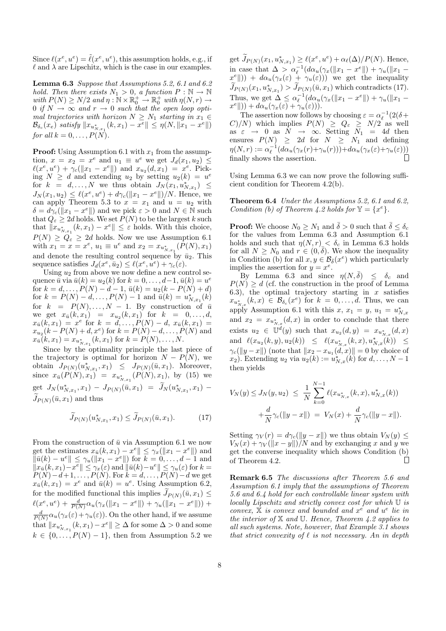Since  $\ell(x^e, u^e) = \tilde{\ell}(x^e, u^e)$ , this assumption holds, e.g., if  $\ell$  and  $\lambda$  are Lipschitz, which is the case in our examples.

Lemma 6.3 Suppose that Assumptions 5.2, 6.1 and 6.2 hold. Then there exists  $N_1 > 0$ , a function  $P : \mathbb{N} \to \mathbb{N}$ with  $P(N) \ge N/2$  and  $\eta : \mathbb{N} \times \mathbb{R}_0^+ \to \mathbb{R}_0^+$  with  $\eta(N,r) \to$ 0 if  $N \to \infty$  and  $r \to 0$  such that the open loop optimal trajectories with horizon  $N \geq N_1$  starting in  $x_1 \in$  $\mathcal{B}_{\delta_c}(x_e)$  satisfy  $||x_{u_{N, x_1}^*}(k, x_1) - x^e|| \leq \eta(N, ||x_1 - x^e||)$ for all  $k = 0, \ldots, P(N)$ .

**Proof:** Using Assumption 6.1 with  $x_1$  from the assumption,  $x = x_2 = x^e$  and  $u_1 \equiv u^e$  we get  $J_d(x_1, u_2) \le$  $\ell(x^e, u^e) + \gamma_c(||x_1 - x^e||)$  and  $x_{u_2}(d, x_1) = x^e$ . Picking  $N \geq d$  and extending  $u_2$  by setting  $u_2(k) = u^e$ for  $k = d, ..., N$  we thus obtain  $J_N(x_1, u_{N,x_1}^*) \leq$  $J_N(x_1, u_2) \leq \ell(x^e, u^e) + d\gamma_c(||x_1 - x^e||)/N$ . Hence, we can apply Theorem 5.3 to  $x = x_1$  and  $u = u_2$  with  $\delta = d\gamma_c(\Vert x_1 - x^e \Vert)$  and we pick  $\varepsilon > 0$  and  $N \in \mathbb{N}$  such that  $Q_{\varepsilon} \geq 2d$  holds. We set  $P(N)$  to be the largest k such that  $||x_{u_{N,x_1}^*}(k, x_1) - x^e|| \leq \varepsilon$  holds. With this choice,  $P(N) \ge Q_{\varepsilon} \ge 2d$  holds. Now we use Assumption 6.1 with  $x_1 = x = x^e$ ,  $u_1 \equiv u^e$  and  $x_2 = x_{u_{N,x_1}^*}(P(N), x_1)$ and denote the resulting control sequence by  $\bar{u}_2$ . This sequence satisfies  $J_d(x^e, \bar{u}_2) \leq \ell(x^e, u^e) + \gamma_c(\varepsilon)$ .

Using  $u_2$  from above we now define a new control sequence  $\bar{u}$  via  $\bar{u}(k) = u_2(k)$  for  $k = 0, \ldots, d-1$ ,  $\bar{u}(k) = u^e$ for  $k = d, ..., P(N) - d - 1, \bar{u}(k) = u_2(k - P(N) + d)$ for  $k = P(N) - d, ..., P(N) - 1$  and  $\bar{u}(k) = u_{N,x_1}^*(k)$ for  $k = P(N),..., N-1$ . By construction of  $\overline{u}$ <br>for  $k = P(N),..., N-1$ . By construction of  $\overline{u}$ we get  $x_{\bar{u}}(k, x_1) = x_{u_2}(k, x_1)$  for  $k = 0, ..., d$ ,  $x_{\bar{u}}(k, x_1) = x^e$  for  $k = d, \ldots, P(N) - d, x_{\bar{u}}(k, x_1) =$  $x_{u_2}(k-P(N)+d,x^e)$  for  $k = P(N)-d, \ldots, P(N)$  and  $x_{\bar{u}}(k, x_1) = x_{u_{N, x_1}^*}(k, x_1)$  for  $k = P(N), \ldots, N$ .

Since by the optimality principle the last piece of the trajectory is optimal for horizon  $N - P(N)$ , we obtain  $J_{P(N)}(u_{N,x_1}^*, x_1) \leq J_{P(N)}(\bar{u}, x_1)$ . Moreover, since  $x_{\bar{u}}(P(N), x_1) = x_{u_{N, x_1}^*}(P(N), x_1)$ , by (15) we get  $J_N(u^*_{N,x_1},x_1) - J_{P(N)}(\bar{u},x_1) = J_N(u^*_{N,x_1},x_1) J_{P(N)}(\bar{u}, x_1)$  and thus

$$
\widetilde{J}_{P(N)}(u_{N,x_1}^*, x_1) \le \widetilde{J}_{P(N)}(\bar{u}, x_1). \tag{17}
$$

From the construction of  $\bar{u}$  via Assumption 6.1 we now get the estimates  $x_{\bar{u}}(k, x_1) - x^e \leq \gamma_x(|x_1 - x^e|)$  and  $\|\bar{u}(k) - u^e\| \leq \gamma_u(\|x_1 - x^e\|)$  for  $k = 0, \ldots, d-1$  and  $||x_{\bar{u}}(k,x_1)-x^e|| \leq \gamma_x(\varepsilon)$  and  $||\bar{u}(k)-u^e|| \leq \gamma_u(\varepsilon)$  for  $k=$  $P(N)-d+1, \ldots, P(N)$ . For  $k = d, \ldots, P(N)-d$  we get  $x_{\bar{u}}(k, x_1) = x^e$  and  $\bar{u}(k) = u^e$ . Using Assumption 6.2, for the modified functional this implies  $J_{P(N)}(\bar{u}, x_1) \leq$  $\ell(x^e, u^e) + \frac{d}{P(N)} \alpha_u (\gamma_x(||x_1 - x^e||) + \gamma_u(||x_1 - x^e||)) +$  $\frac{d}{P(N)}\alpha_u(\gamma_x(\varepsilon)+\gamma_u(\varepsilon))$ . On the other hand, if we assume that  $||x_{u_{N, x_1}^*}(k, x_1) - x^e|| \geq \Delta$  for some  $\Delta > 0$  and some  $k \in \{0, \ldots, P(N) - 1\}$ , then from Assumption 5.2 we get  $J_{P(N)}(x_1, u_{N,x_1}^*) \ge \ell(x^e, u^e) + \alpha \ell(\Delta)/P(N)$ . Hence, in case that  $\Delta > \alpha_{\ell}^{-1}(d\alpha_u(\gamma_x(\|x_1 - x^e\|) + \gamma_u(\|x_1 - x^e\|)) + d\alpha_u(\gamma_x(\varepsilon) + \gamma_u(\varepsilon)))$  we get the inequality  $J_{P(N)}(x_1, u_{N,x_1}^*) > J_{P(N)}(\bar{u}, x_1)$  which contradicts (17). Thus, we get  $\Delta \leq \alpha_{\ell}^{-1}(d\alpha_u(\gamma_x(\|x_1 - x^e\|) + \gamma_u(\|x_1 - x^e\|)) + d\alpha_u(\gamma_x(\varepsilon) + \gamma_u(\varepsilon))).$ 

The assertion now follows by choosing  $\varepsilon = \alpha_{\ell}^{-1} (2(\delta +$  $(C)/N$ ) which implies  $P(N) \geq Q_{\varepsilon} \geq N/2$  as well as  $\varepsilon \to 0$  as  $N \to \infty$ . Setting  $N_1 = 4d$  then ensures  $P(N) \geq 2d$  for  $N \geq N_1$  and defining  $\eta(N,r) := \alpha_{\ell}^{-1}(d\alpha_u(\gamma_x(r)+\gamma_u(r))) + d\alpha_u(\gamma_x(\varepsilon)+\gamma_u(\varepsilon)))$ П finally shows the assertion.

Using Lemma 6.3 we can now prove the following sufficient condition for Theorem 4.2(b).

Theorem 6.4 Under the Assumptions 5.2, 6.1 and 6.2, Condition (b) of Theorem 4.2 holds for  $\mathbb{Y} = \{x^e\}.$ 

**Proof:** We choose  $N_0 > N_1$  and  $\bar{\delta} > 0$  such that  $\bar{\delta} < \delta_c$ for the values from Lemma 6.3 and Assumption 6.1 holds and such that  $\eta(N, r) < \delta_c$  in Lemma 6.3 holds for all  $N \geq N_0$  and  $r \in (0, \bar{\delta})$ . We show the inequality in Condition (b) for all  $x, y \in \mathcal{B}_{\bar{\delta}}(x^e)$  which particularly implies the assertion for  $y = x^e$ .

By Lemma 6.3 and since  $\eta(N,\bar{\delta}) \leq \delta_c$  and  $P(N) \geq d$  (cf. the construction in the proof of Lemma 6.3), the optimal trajectory starting in  $x$  satisfies  $x_{u_{N,x}^*(k,x)} \in \mathcal{B}_{\delta_c}(x^e)$  for  $k = 0, \ldots, d$ . Thus, we can apply Assumption 6.1 with this  $x, x_1 = y, u_1 = u_{N,x}^*$ and  $x_2 = x_{u_{N,x}^*}(d,x)$  in order to conclude that there exists  $u_2 \in \mathbb{U}^d(y)$  such that  $x_{u_2}(d, y) = x_{u_{N,x}^*}(d, x)$ and  $\ell(x_{u_2}(k, y), u_2(k)) \leq \ell(x_{u_{N,x}^*}(k, x), u_{N,x}^*(k)) \leq$  $\gamma_c(\|y-x\|)$  (note that  $\|x_2 - x_{u_1}(d, x)\| = 0$  by choice of x<sub>2</sub>). Extending u<sub>2</sub> via  $u_2(k) := u_{N,x}^*(k)$  for  $d, ..., N-1$ then yields

$$
V_N(y) \leq J_N(y, u_2) \leq \frac{1}{N} \sum_{k=0}^{N-1} \ell(x_{u_{N,x}^*(k, x), u_{N,x}^*(k)) + \frac{d}{N} \gamma_c(\|y - x\|) = V_N(x) + \frac{d}{N} \gamma_c(\|y - x\|).
$$

Setting  $\gamma_V(r) = d\gamma_c(||y - x||)$  we thus obtain  $V_N(y) \leq$  $V_N(x) + \gamma_V(||x - y||)/N$  and by exchanging x and y we get the converse inequality which shows Condition (b) of Theorem 4.2.  $\Box$ 

Remark 6.5 The discussions after Theorem 5.6 and Assumption 6.1 imply that the assumptions of Theorem 5.6 and 6.4 hold for each controllable linear system with locally Lipschitz and strictly convex cost for which U is convex,  $\overline{\mathbf{x}}$  is convex and bounded and  $x^e$  and  $u^e$  lie in the interior of  $X$  and  $U$ . Hence, Theorem 4.2 applies to all such systems. Note, however, that Example 3.1 shows that strict convexity of  $\ell$  is not necessary. An in depth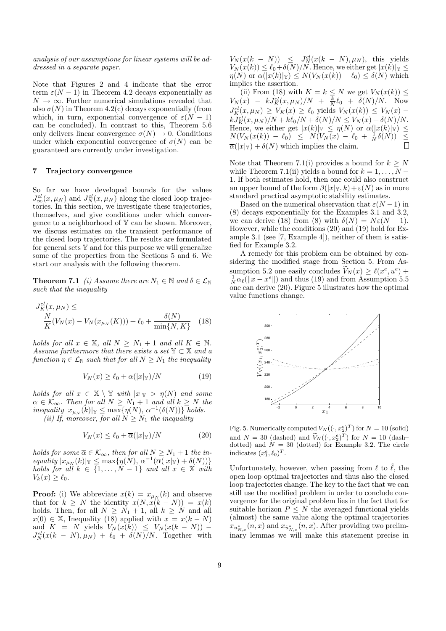analysis of our assumptions for linear systems will be addressed in a separate paper.

Note that Figures 2 and 4 indicate that the error term  $\varepsilon(N-1)$  in Theorem 4.2 decays exponentially as  $N \to \infty$ . Further numerical simulations revealed that also  $\sigma(N)$  in Theorem 4.2(c) decays exponentially (from which, in turn, exponential convergence of  $\varepsilon(N-1)$ can be concluded). In contrast to this, Theorem 5.6 only delivers linear convergence  $\sigma(N) \to 0$ . Conditions under which exponential convergence of  $\sigma(N)$  can be guaranteed are currently under investigation.

## 7 Trajectory convergence

So far we have developed bounds for the values  $J^{cl}_{\infty}(x,\mu_N)$  and  $J^{cl}_{N}(x,\mu_N)$  along the closed loop trajectories. In this section, we investigate these trajectories, themselves, and give conditions under which convergence to a neighborhood of  $Y$  can be shown. Moreover, we discuss estimates on the transient performance of the closed loop trajectories. The results are formulated for general sets Y and for this purpose we will generalize some of the properties from the Sections 5 and 6. We start our analysis with the following theorem.

**Theorem 7.1** (i) Assume there are  $N_1 \in \mathbb{N}$  and  $\delta \in \mathcal{L}_{\mathbb{N}}$ such that the inequality

$$
J_K^{cl}(x, \mu_N) \le
$$
  

$$
\frac{N}{K}(V_N(x) - V_N(x_{\mu_N}(K))) + \ell_0 + \frac{\delta(N)}{\min\{N, K\}} \quad (18)
$$

holds for all  $x \in \mathbb{X}$ , all  $N \geq N_1 + 1$  and all  $K \in \mathbb{N}$ . Assume furthermore that there exists a set  $\mathbb{Y} \subset \mathbb{X}$  and a function  $\eta \in \mathcal{L}_{\mathbb{N}}$  such that for all  $N \geq N_1$  the inequality

$$
V_N(x) \ge \ell_0 + \alpha(|x|_{\mathbb{Y}})/N \tag{19}
$$

holds for all  $x \in \mathbb{X} \setminus \mathbb{Y}$  with  $|x|_{\mathbb{Y}} > \eta(N)$  and some  $\alpha \in \mathcal{K}_{\infty}$ . Then for all  $N \geq N_1 + 1$  and all  $k \geq N$  the  $inequality |x_{\mu_N}(k)|_{\mathbb{Y}} \leq \max\{\eta(N), \alpha^{-1}(\delta(N))\} holds.$ (ii) If, moreover, for all  $N \geq N_1$  the inequality

$$
V_N(x) \le \ell_0 + \overline{\alpha}(|x|_{\mathbb{Y}})/N \tag{20}
$$

holds for some  $\overline{\alpha} \in \mathcal{K}_{\infty}$ , then for all  $N \geq N_1 + 1$  the in- $\text{equality } |x_{\mu_N}(k)|_{\mathbb{Y}} \leq \max\{\eta(N), \alpha^{-1}(\overline{\alpha}(|x|_{\mathbb{Y}}) + \delta(N))\}$ holds for all  $k \in \{1, ..., N-1\}$  and all  $x \in \mathbb{X}$  with  $V_k(x) \geq \ell_0.$ 

**Proof:** (i) We abbreviate  $x(k) = x_{\mu_N}(k)$  and observe that for  $k \geq N$  the identity  $x(N, x(k - N)) = x(k)$ holds. Then, for all  $N \geq N_1 + 1$ , all  $k \geq N$  and all  $x(0) \in \mathbb{X}$ , Inequality (18) applied with  $x = x(k - N)$ and  $K = N$  yields  $V_N(x(k)) \leq V_N(x(k - N)) - J_N^{cl}(x(k - N), \mu_N) + \ell_0 + \delta(N)/N$ . Together with

 $V_N(x(k - N)) \leq J_N^{cl}(x(k - N), \mu_N),$  this yields  $V_N(x(k)) \leq \ell_0+\delta(N)/N$ . Hence, we either get  $|x(k)|_Y \leq$  $\eta(N)$  or  $\alpha(|x(k)|_{\mathbb{Y}}) \leq N(V_N(x(k)) - \ell_0) \leq \delta(N)$  which implies the assertion.

(ii) From (18) with  $K = k \leq N$  we get  $V_N(x(k)) \leq$  $V_N(x) - kJ_K^{cl}(x,\mu_N)/N + \frac{k}{N}\ell_0 + \delta(N)/N$ . Now  $J_K^{cl}(x,\mu_N) \geq V_K(x) \geq \ell_0$  yields  $V_N(x(k)) \leq V_N(x)$  –  $kJ_K^{cl}(x,\mu_N)/N + k\ell_0/N + \delta(N)/N \le V_N(x) + \delta(N)/N.$ Hence, we either get  $|x(k)|_Y \leq \eta(N)$  or  $\alpha(|x(k)|_Y) \leq$  $N(V_N(x(k)) - \ell_0) \le N(V_N(x) - \ell_0 + \frac{1}{N} \delta(N)) \le$  $\overline{\alpha}(|x|_{\mathbb{Y}}) + \delta(N)$  which implies the claim.

Note that Theorem 7.1(i) provides a bound for  $k \geq N$ while Theorem 7.1(ii) yields a bound for  $k = 1, \ldots, N - 1$ 1. If both estimates hold, then one could also construct an upper bound of the form  $\beta(|x|_y, k) + \varepsilon(N)$  as in more standard practical asymptotic stability estimates.

Based on the numerical observation that  $\varepsilon(N-1)$  in (8) decays exponentially for the Examples 3.1 and 3.2, we can derive (18) from (8) with  $\delta(N) = N \epsilon(N-1)$ . However, while the conditions (20) and (19) hold for Example 3.1 (see [7, Example 4]), neither of them is satisfied for Example 3.2.

A remedy for this problem can be obtained by considering the modified stage from Section 5. From Assumption 5.2 one easily concludes  $V_N(x) \ge \ell(x^e, u^e) +$  $\frac{1}{N}\alpha_{\ell}(\|x-x^e\|)$  and thus (19) and from Assumption 5.5 one can derive (20). Figure 5 illustrates how the optimal value functions change.



Fig. 5. Numerically computed  $V_N((\cdot, x_2^e)^T)$  for  $N = 10$  (solid) and  $N = 30$  (dashed) and  $\tilde{V}_N((\cdot, x_2^e)^T)$  for  $N = 10$  (dashdotted) and  $N = 30$  (dotted) for Example 3.2. The circle indicates  $(x_1^e, \ell_0)^T$ .

Unfortunately, however, when passing from  $\ell$  to  $\ell$ , the open loop optimal trajectories and thus also the closed loop trajectories change. The key to the fact that we can still use the modified problem in order to conclude convergence for the original problem lies in the fact that for suitable horizon  $P \leq N$  the averaged functional yields (almost) the same value along the optimal trajectories  $x_{u_{N,x}^*}(n, x)$  and  $x_{\tilde{u}_{N,x}^*}(n, x)$ . After providing two preliminary lemmas we will make this statement precise in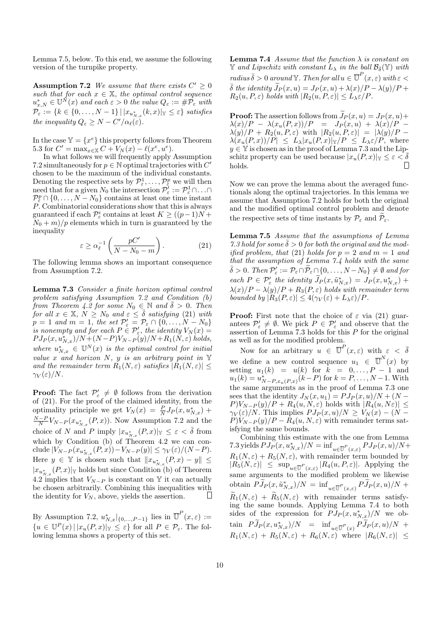Lemma 7.5, below. To this end, we assume the following version of the turnpike property.

**Assumption 7.2** We assume that there exists  $C' \geq 0$ such that for each  $x \in \mathbb{X}$ , the optimal control sequence  $u_{x,N}^* \in \mathbb{U}^N(x)$  and each  $\varepsilon > 0$  the value  $Q_{\varepsilon} := \# \mathcal{P}_{\varepsilon}$  with  $\mathcal{P}_{\varepsilon}:=\{k\in\{0,\ldots,N-1\}\,|\,|x_{u_{N,x}^*}(k,x)|_{\mathbb{Y}}\leq\varepsilon\}$  satisfies the inequality  $Q_{\varepsilon} \geq N - C'/\alpha_{\ell}(\varepsilon)$ .

In the case  $Y = \{x^e\}$  this property follows from Theorem 5.3 for  $C' = \max_{x \in \mathbb{X}} C + V_N(x) - \ell(x^e, u^e).$ 

In what follows we will frequently apply Assumption 7.2 simultaneously for  $p\in\mathbb{N}$  optimal trajectories with  $C'$ chosen to be the maximum of the individual constants. Denoting the respective sets by  $\mathcal{P}^1_{\varepsilon}, \ldots, \mathcal{P}^p_{\varepsilon}$  we will then need that for a given  $N_0$  the intersection  $\mathcal{P}_{\varepsilon}^{\gamma} := \mathcal{P}_{\varepsilon}^1 \cap \dots \cap$  $\mathcal{P}_{\varepsilon}^p \cap \{0, \ldots, N - N_0\}$  contains at least one time instant P. Combinatorial considerations show that this is always guaranteed if each  $\mathcal{P}^i_{\varepsilon}$  contains at least  $K \geq ((p-1)N +$  $N_0 + m$ /*p* elements which in turn is guaranteed by the inequality

$$
\varepsilon \ge \alpha_{\ell}^{-1} \left( \frac{pC'}{N - N_0 - m} \right). \tag{21}
$$

The following lemma shows an important consequence from Assumption 7.2.

Lemma 7.3 Consider a finite horizon optimal control problem satisfying Assumption 7.2 and Condition (b) from Theorem 4.2 for some  $N_0 \in \mathbb{N}$  and  $\overline{\delta} > 0$ . Then for all  $x \in \mathbb{X}$ ,  $N \geq N_0$  and  $\varepsilon \leq \overline{\delta}$  satisfying (21) with  $p = 1$  and  $m = 1$ , the set  $\mathcal{P}'_{\varepsilon} = \mathcal{P}_{\varepsilon} \cap \{0, \ldots, N - N_0\}$ is nonempty and for each  $P \in \mathcal{P}'_{\varepsilon}$ , the identity  $V_N(x) =$  $PJ_P(x, u^*_{N,x})/N+(N-P)V_{N-P}(y)/N+R_1(N,\varepsilon)$  holds, where  $u_{N,x}^* \in \mathbb{U}^N(x)$  is the optimal control for initial value x and horizon  $N$ , y is an arbitrary point in Y and the remainder term  $R_1(N,\varepsilon)$  satisfies  $|R_1(N,\varepsilon)| \leq$  $\gamma_V(\varepsilon)/N$ .

**Proof:** The fact  $\mathcal{P}'_{\varepsilon} \neq \emptyset$  follows from the derivation of (21). For the proof of the claimed identity, from the optimality principle we get  $V_N(x) = \frac{P}{N} J_P(x, u_{N,x}^*)$  +  $\frac{N-P}{N}V_{N-P}(x_{u_{N,x}^*}(P,x))$ . Now Assumption 7.2 and the choice of N and P imply  $|x_{u_{N,x}^*}(P,x)|_{\mathbb{Y}} \leq \varepsilon < \overline{\delta}$  from which by Condition (b) of Theorem 4.2 we can conclude  $|V_{N-P}(x_{u_{N,x}^*}(P,x)) - V_{N-P}(y)| \le \gamma_V(\varepsilon)/(N-P).$ Here  $y \in \mathbb{Y}$  is chosen such that  $||x_{u_{N,x}^*}(P,x) - y|| \le$  $|x_{u_{N,x}^*}(P,x)|$ <sub>Y</sub> holds but since Condition (b) of Theorem 4.2 implies that  $V_{N-P}$  is constant on Y it can actually be chosen arbitrarily. Combining this inequalities with the identity for  $V_N$ , above, yields the assertion.  $\Box$ 

By Assumption 7.2,  $u^*_{N,x}|_{\{0,\ldots,P-1\}}$  lies in  $\overline{\mathbb{U}}^P(x,\varepsilon) :=$  ${u \in \mathbb{U}^P(x) \mid |x_u(P,x)|_{\mathbb{Y}}} \leq \varepsilon}$  for all  $P \in \mathcal{P}_{\varepsilon}$ . The following lemma shows a property of this set.

**Lemma 7.4** Assume that the function  $\lambda$  is constant on  $\mathbb Y$  and Lipschitz with constant  $L_\lambda$  in the ball  $\mathcal B_{\bar{\delta}}(\mathbb Y)$  with  $r_{adius}\bar{\delta} > 0$  around  $\mathbb{Y}$ . Then for all  $u \in \overline{\mathbb{U}}^P(x,\varepsilon)$  with  $\varepsilon <$  $\overline{\delta}$  the identity  $\widetilde{J}_P (x, u) = J_P (x, u) + \lambda(x)/P - \lambda(y)/P +$  $R_2(u, P, \varepsilon)$  holds with  $|R_2(u, P, \varepsilon)| \leq L_{\lambda} \varepsilon / P$ .

**Proof:** The assertion follows from  $J_P(x, u) = J_P(x, u) +$  $\lambda(x)/P - \lambda(x_u(P,x))/P = J_P(x,u) + \lambda(x)/P \lambda(y)/P + R_2(u, P, \varepsilon)$  with  $|R_2(u, P, \varepsilon)| = |\lambda(y)/P - \lambda(y)|$  $\lambda(x_u(P, x))/P| \leq L_\lambda |x_u(P, x)|_\mathbb{Y}/P \leq L_\lambda \varepsilon/P,$  where  $y \in \mathbb{Y}$  is chosen as in the proof of Lemma 7.3 and the Lipschitz property can be used because  $|x_u(P, x)|_Y \leq \varepsilon < \delta$  holds holds.

Now we can prove the lemma about the averaged functionals along the optimal trajectories. In this lemma we assume that Assumption 7.2 holds for both the original and the modified optimal control problem and denote the respective sets of time instants by  $\mathcal{P}_{\varepsilon}$  and  $\mathcal{P}_{\varepsilon}$ .

Lemma 7.5 Assume that the assumptions of Lemma 7.3 hold for some  $\overline{\delta} > 0$  for both the original and the modified problem, that (21) holds for  $p = 2$  and  $m = 1$  and that the assumption of Lemma 7.4 holds with the same  $\bar{\delta} > 0$ . Then  $\mathcal{P}_{\varepsilon}':=\mathcal{P}_{\varepsilon}\cap \widetilde{\mathcal{P}}_{\varepsilon}\cap\{0,\ldots,N-N_0\}\neq \emptyset$  and for  $\text{each } P \in \mathcal{P}'_{\varepsilon} \text{ the identity } J_P(x, \tilde{u}_{N,x}^*) = J_P(x, u_{N,x}^*) +$  $\lambda(x)/P - \lambda(y)/P + R_3(P, \varepsilon)$  holds with remainder term bounded by  $|R_3(P, \varepsilon)| \leq 4(\gamma_V(\varepsilon) + L_\lambda \varepsilon)/P$ .

**Proof:** First note that the choice of  $\varepsilon$  via (21) guarantees  $\mathcal{P}'_{\varepsilon} \neq \emptyset$ . We pick  $P \in \mathcal{P}'_{\varepsilon}$  and observe that the assertion of Lemma 7.3 holds for this  $P$  for the original as well as for the modified problem.

Now for an arbitrary  $u \in \overline{U}^P(x,\varepsilon)$  with  $\varepsilon < \overline{\delta}$ we define a new control sequence  $u_1 \in \overline{\mathbb{U}}^N(x)$  by setting  $u_1(k) = u(k)$  for  $k = 0, \ldots, P-1$  and  $u_1(k) = u_{N-P,x_u(P,x)}^*(k-P)$  for  $k = P, \ldots, N-1$ . With the same arguments as in the proof of Lemma 7.3 one sees that the identity  $J_N(x, u_1) = PJ_P(x, u)/N + (N P)V_{N-P}(y)/P + R_4(u, N, \varepsilon)$  holds with  $|R_4(u, N_{\varepsilon})| \leq$  $\gamma_V(\varepsilon)/N$ . This implies  $PJ_P(x, u)/N \geq V_N(x) - (N P)V_{N-P}(y)/P - R_4(u, N, \varepsilon)$  with remainder terms satisfying the same bounds.

Combining this estimate with the one from Lemma 7.3 yields  $PJ_P(x, u^*_{N,x})/N = \inf_{u \in \overline{U}^P(x, \varepsilon)} PJ_P(x, u)/N +$  $R_1(N,\varepsilon) + R_5(N,\varepsilon)$ , with remainder term bounded by  $|R_5(N,\varepsilon)| \leq \sup_{u \in \overline{\mathbb{U}}^P(x,\varepsilon)} |R_4(u, P, \varepsilon)|$ . Applying the same arguments to the modified problem we likewise obtain  $PJ_P(x, \tilde{u}_{N,x}^*)/N = \inf_{u \in \overline{\mathbb{U}}^P(x,\varepsilon)} PJ_P(x,u)/N +$  $\widetilde{R}_1(N,\varepsilon) + \widetilde{R}_5(N,\varepsilon)$  with remainder terms satisfying the same bounds. Applying Lemma 7.4 to both sides of the expression for  $PJ_P(x, u^*_{N,x})/N$  we obtain  $PJ_P(x, u_{N,x}^*)/N = \inf_{u \in \overline{U}^P(x)} PJ_P(x, u)/N +$  $R_1(N,\varepsilon) + R_5(N,\varepsilon) + R_6(N,\varepsilon)$  where  $|R_6(N,\varepsilon)| \leq$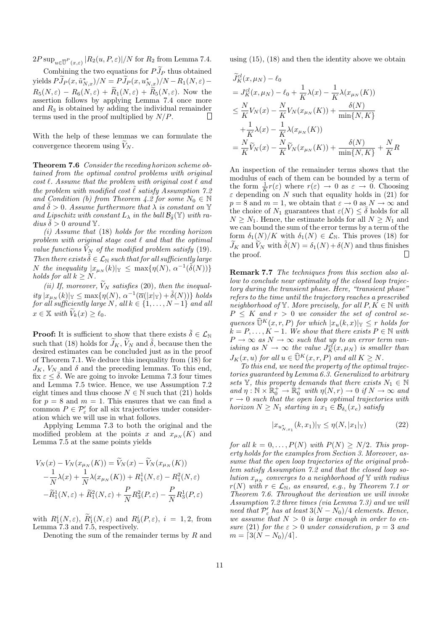$2P \sup_{u \in \overline{\mathbb{U}}^P(x,\varepsilon)} |R_2(u, P, \varepsilon)|/N$  for  $R_2$  from Lemma 7.4.

Combining the two equations for  $P\widetilde{J}_P$  thus obtained yields  $PJ_P(x,\tilde{u}_{N,x}^*)/N = PJ_P(x,u_{N,x}^*)/N - R_1(N,\varepsilon) R_5(N,\varepsilon) - R_6(N,\varepsilon) + \widetilde{R}_1(N,\varepsilon) + \widetilde{R}_5(N,\varepsilon)$ . Now the assertion follows by applying Lemma 7.4 once more and  $R_3$  is obtained by adding the individual remainder terms used in the proof multiplied by  $N/P$ .

With the help of these lemmas we can formulate the convergence theorem using  $V_N$ .

Theorem 7.6 Consider the receding horizon scheme obtained from the optimal control problems with original cost  $\ell$ . Assume that the problem with original cost  $\ell$  and the problem with modified cost  $\ell$  satisfy Assumption 7.2 and Condition (b) from Theorem 4.2 for some  $N_0 \in \mathbb{N}$ and  $\delta > 0$ . Assume furthermore that  $\lambda$  is constant on Y and Lipschitz with constant  $L_{\lambda}$  in the ball  $\mathcal{B}_{\bar{\delta}}(\mathbb{Y})$  with radius  $\delta > 0$  around Y.

(i) Assume that (18) holds for the receding horizon problem with original stage cost  $\ell$  and that the optimal value functions  $V_N$  of the modified problem satisfy (19). Then there exists  $\tilde{\delta} \in \mathcal{L}_{\mathbb{N}}$  such that for all sufficiently large  $N$  the inequality  $|x_{\mu_N}(k)|_{\mathbb{Y}} \leq \max\{\eta(N), \alpha^{-1}(\tilde{\delta}(N))\}$ holds for all  $k \geq N$ .

(ii) If, moreover,  $\widetilde{V}_N$  satisfies (20), then the inequal $ity |x_{\mu_N}(k)|_{\mathbb{Y}} \leq \max\{\eta(N), \alpha^{-1}(\overline{\alpha}(|x|_{\mathbb{Y}}) + \tilde{\delta}(N))\} \text{ holds}$ for all sufficiently large N, all  $k \in \{1, \ldots, N-1\}$  and all  $x \in \mathbb{X}$  with  $V_k(x) \geq \ell_0$ .

**Proof:** It is sufficient to show that there exists  $\tilde{\delta} \in \mathcal{L}_{\mathbb{N}}$ such that (18) holds for  $\widetilde{J}_K$ ,  $\widetilde{V}_N$  and  $\widetilde{\delta}$ , because then the desired estimates can be concluded just as in the proof of Theorem 7.1. We deduce this inequality from (18) for  $J_K$ ,  $V_{N}$  and  $\delta$  and the preceding lemmas. To this end, fix  $\varepsilon \leq \overline{\delta}$ . We are going to invoke Lemma 7.3 four times and Lemma 7.5 twice. Hence, we use Assumption 7.2 eight times and thus choose  $N \in \mathbb{N}$  such that (21) holds for  $p = 8$  and  $m = 1$ . This ensures that we can find a common  $P \in \mathcal{P}'_{\varepsilon}$  for all six trajectories under consideration which we will use in what follows.

Applying Lemma 7.3 to both the original and the modified problem at the points x and  $x_{\mu_N}(K)$  and Lemma 7.5 at the same points yields

$$
V_N(x) - V_N(x_{\mu_N}(K)) = \widetilde{V}_N(x) - \widetilde{V}_N(x_{\mu_N}(K))
$$
  

$$
-\frac{1}{N}\lambda(x) + \frac{1}{N}\lambda(x_{\mu_N}(K)) + R_1^1(N, \varepsilon) - R_1^2(N, \varepsilon)
$$
  

$$
-\widetilde{R}_1^1(N, \varepsilon) + \widetilde{R}_1^2(N, \varepsilon) + \frac{P}{N}R_3^2(P, \varepsilon) - \frac{P}{N}R_3^1(P, \varepsilon)
$$

with  $R_1^i(N,\varepsilon)$ ,  $R_1^i(N,\varepsilon)$  and  $R_3^i(P,\varepsilon)$ ,  $i = 1,2$ , from Lemma 7.3 and 7.5, respectively.

Denoting the sum of the remainder terms by  $R$  and

using (15), (18) and then the identity above we obtain

$$
\tilde{J}_K^{cl}(x, \mu_N) - \ell_0
$$
\n
$$
= J_K^{cl}(x, \mu_N) - \ell_0 + \frac{1}{K} \lambda(x) - \frac{1}{K} \lambda(x_{\mu_N}(K))
$$
\n
$$
\leq \frac{N}{K} V_N(x) - \frac{N}{K} V_N(x_{\mu_N}(K)) + \frac{\delta(N)}{\min\{N, K\}}
$$
\n
$$
+ \frac{1}{K} \lambda(x) - \frac{1}{K} \lambda(x_{\mu_N}(K))
$$
\n
$$
= \frac{N}{K} \tilde{V}_N(x) - \frac{N}{K} \tilde{V}_N(x_{\mu_N}(K)) + \frac{\delta(N)}{\min\{N, K\}} + \frac{N}{K} R
$$

An inspection of the remainder terms shows that the modulus of each of them can be bounded by a term of the form  $\frac{1}{K}r(\varepsilon)$  where  $r(\varepsilon) \to 0$  as  $\varepsilon \to 0$ . Choosing  $\varepsilon$  depending on N such that equality holds in (21) for  $p = 8$  and  $m = 1$ , we obtain that  $\varepsilon \to 0$  as  $N \to \infty$  and the choice of  $N_1$  guarantees that  $\varepsilon(N) \leq \overline{\delta}$  holds for all  $N \geq N_1$ . Hence, the estimate holds for all  $N \geq N_1$  and we can bound the sum of the error terms by a term of the form  $\delta_1(N)/K$  with  $\delta_1(N) \in \mathcal{L}_{\mathbb{N}}$ . This proves (18) for  $\widetilde{J}_K$  and  $\widetilde{V}_N$  with  $\widetilde{\delta}(N) = \delta_1(N) + \delta(N)$  and thus finishes the proof. the proof.

Remark 7.7 The techniques from this section also allow to conclude near optimality of the closed loop trajectory during the transient phase. Here, "transient phase" refers to the time until the trajectory reaches a prescribed neighborhood of Y. More precisely, for all  $P, K \in \mathbb{N}$  with  $P \leq K$  and  $r > 0$  we consider the set of control sequences  $\widehat{\mathbb{U}}^K(x, r, P)$  for which  $|x_u(k, x)|_{\mathbb{Y}} \leq r$  holds for  $k = P, \ldots, K - 1$ . We show that there exists  $P \in \mathbb{N}$  with  $P \to \infty$  as  $N \to \infty$  such that up to an error term vanishing as  $N \to \infty$  the value  $J_K^{cl}(x,\mu_N)$  is smaller than  $J_K(x, u)$  for all  $u \in \widehat{\mathbb{U}}^K(x, r, P)$  and all  $K \geq N$ .

To this end, we need the property of the optimal trajectories guaranteed by Lemma 6.3. Generalized to arbitrary sets Y, this property demands that there exists  $N_1 \in \mathbb{N}$ and  $\eta : \mathbb{N} \times \mathbb{R}_0^+ \to \mathbb{R}_0^+$  with  $\eta(N,r) \to 0$  if  $N \to \infty$  and  $r \rightarrow 0$  such that the open loop optimal trajectories with horizon  $N \geq N_1$  starting in  $x_1 \in \mathcal{B}_{\delta_c}(x_e)$  satisfy

$$
|x_{u_{N,x_1}^*}(k, x_1)|_{\mathbb{Y}} \le \eta(N, |x_1|_{\mathbb{Y}})
$$
 (22)

for all  $k = 0, \ldots, P(N)$  with  $P(N) \geq N/2$ . This property holds for the examples from Section 3. Moreover, assume that the open loop trajectories of the original problem satisfy Assumption 7.2 and that the closed loop solution  $x_{\mu_N}$  converges to a neighborhood of Y with radius  $r(N)$  with  $r \in \mathcal{L}_{N}$ , as ensured, e.g., by Theorem 7.1 or Theorem 7.6. Throughout the derivation we will invoke Assumption 7.2 three times (via Lemma 7.3) and we will need that  $\mathcal{P}'_{\varepsilon}$  has at least  $3(N - N_0)/4$  elements. Hence, we assume that  $N > 0$  is large enough in order to ensure (21) for the  $\varepsilon > 0$  under consideration,  $p = 3$  and  $m = \left[3(N - N_0)/4\right].$